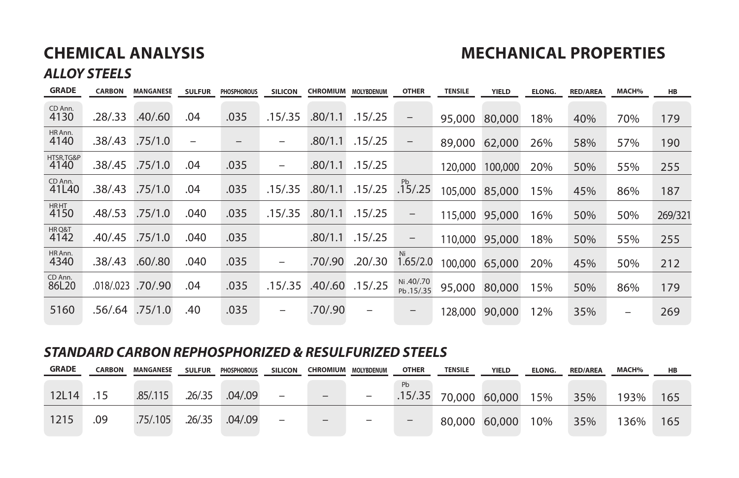# **CHEMICAL ANALYSIS MECHANICAL PROPERTIES**

### *ALLOY STEELS*

| <b>GRADE</b>        | <b>CARBON</b> | <b>MANGANESE</b> | <b>SULFUR</b> | <b>PHOSPHOROUS</b> | <b>SILICON</b>                   | <b>CHROMIUM</b> | <b>MOLYBDENUM</b> | <b>OTHER</b>           | <b>TENSILE</b> | <b>YIELD</b> | <b>ELONG.</b> | <b>RED/AREA</b> | <b>MACH%</b> | <b>HB</b> |
|---------------------|---------------|------------------|---------------|--------------------|----------------------------------|-----------------|-------------------|------------------------|----------------|--------------|---------------|-----------------|--------------|-----------|
| CD Ann.<br>4130     | .28/0.33      | .40/0.60         | .04           | .035               | .15/.35                          | .80/1.1         | .15/0.25          | $\qquad \qquad -$      | 95,000         | 80,000       | 18%           | 40%             | 70%          | 179       |
| HR Ann.<br>4140     | .38/.43       | .75/1.0          |               | $\qquad \qquad -$  | -                                | .80/1.1         | .15/0.25          | $\qquad \qquad -$      | 89,000         | 62,000       | 26%           | 58%             | 57%          | 190       |
| HTSR, TG&P<br>4140  | .38/0.45      | .75/1.0          | .04           | .035               | $\overline{\phantom{0}}$         | .80/1.1         | .15/0.25          |                        | 120.000        | 100,000      | 20%           | 50%             | 55%          | 255       |
| CD Ann.<br>41L40    | .38/.43       | .75/1.0          | .04           | .035               | .15/0.35                         | .80/1.1         | .15/0.25          | Pb<br>.15/0.25         | 105,000        | 85,000       | 5%            | 45%             | 86%          | 187       |
| <b>HRHT</b><br>4150 | .48/0.53      | .75/1.0          | .040          | .035               | .15/.35                          | .80/1.1         | .15/0.25          | $\qquad \qquad -$      | 115,000        | 95,000       | 6%            | 50%             | 50%          | 269/321   |
| HRQ&T<br>4142       | .40/.45       | .75/1.0          | .040          | .035               |                                  | .80/1.1         | .15/0.25          | -                      | 110,000        | 95,000       | 18%           | 50%             | 55%          | 255       |
| HR Ann.<br>4340     | .38/.43       | .60/0.80         | .040          | .035               | $\overbrace{\phantom{12322111}}$ | .70/.90         | .20/.30           | Ni<br>1.65/2.0         | 100.000        | 65,000       | 20%           | 45%             | 50%          | 212       |
| CD Ann.<br>86L20    | .018/.023     | .70/.90          | .04           | .035               | .15/.35                          | .40/.60         | .15/0.25          | Ni.40/.70<br>Pb.15/.35 | 95,000         | 80,000       | 5%            | 50%             | 86%          | 179       |
| 5160                | .56/.64       | .75/1.0          | .40           | .035               | $\overline{\phantom{0}}$         | .70/.90         | -                 | -                      | 128,000        | 90,000       | 2%            | 35%             | -            | 269       |

#### *STANDARD CARBON REPHOSPHORIZED & RESULFURIZED STEELS*

| <b>GRADE</b> | <b>CARBON</b> | <b>MANGANESE</b> | <b>SULFUR</b> | <b>PHOSPHOROUS</b> | <b>SILICON</b>           |                              | <b>CHROMIUM MOLYBDENUM</b> | <b>OTHER</b>                 | <b>TENSILE</b>          | YIELD         | <b>ELONG.</b> | <b>RED/AREA</b> | <b>MACH%</b> | HB  |
|--------------|---------------|------------------|---------------|--------------------|--------------------------|------------------------------|----------------------------|------------------------------|-------------------------|---------------|---------------|-----------------|--------------|-----|
|              |               |                  |               |                    |                          |                              |                            | <b>Pb</b>                    |                         |               |               |                 |              |     |
| 12L14        | .15           | .85/0.115        | .26/.35       | .04/.09            | $\overline{\phantom{0}}$ | $\qquad \qquad -$            |                            |                              | $.15/.35$ 70,000 60,000 |               | 15%           | 35%             | 193%         | 165 |
| 1215         | .09           | .75/.105         | .26/.35       | .04/0.9            | $\overline{\phantom{0}}$ | $\qquad \qquad \blacksquare$ | $\qquad \qquad -$          | $\qquad \qquad \blacksquare$ |                         | 80,000 60,000 | 10%           | 35%             | 136%         | 165 |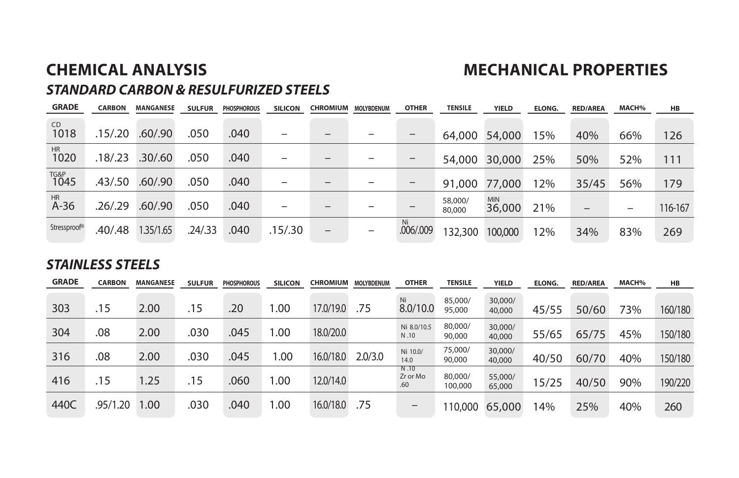## **CHEMICAL ANALYSIS MECHANICAL PROPERTIES**

### *STANDARD CARBON & RESULFURIZED STEELS*

| <b>GRADE</b>        | <b>CARBON</b> | <b>MANGANESE</b> | <b>SULFUR</b> | <b>PHOSPHOROUS</b> | <b>SILICON</b>           |                              | <b>CHROMIUM MOLYBDENUM</b> | <b>OTHER</b>    | <b>TENSILE</b>    | <b>YIELD</b>         | <b>ELONG.</b> | <b>RED/AREA</b>   | MACH%                    | <b>HB</b> |
|---------------------|---------------|------------------|---------------|--------------------|--------------------------|------------------------------|----------------------------|-----------------|-------------------|----------------------|---------------|-------------------|--------------------------|-----------|
| CD<br>1018          | .15/.20       | .60/.90          | .050          | .040               | $\overline{\phantom{0}}$ |                              |                            |                 | 64,000            | 54,000               | 5%            | 40%               | 66%                      | 126       |
| HR<br>1020          | .18/.23       | .30/0.60         | .050          | .040               |                          | -                            |                            |                 | 54,000            | 30,000               | 25%           | 50%               | 52%                      | 111       |
| TG&P<br>1045        | .43/.50       | .60/0.90         | .050          | .040               | -                        | $\overline{\phantom{m}}$     |                            |                 |                   | 91,000 77,000        | 12%           | 35/45             | 56%                      | 179       |
| <b>HR</b><br>$A-36$ | .26/.29       | .60/.90          | .050          | .040               | -                        | $\qquad \qquad \blacksquare$ |                            |                 | 58,000/<br>80,000 | <b>MIN</b><br>36,000 | 21%           | $\qquad \qquad -$ | $\overline{\phantom{0}}$ | 116-167   |
| Stressproof®        | .40/0.48      | 1.35/1.65        | .24/0.33      | .040               | .15/.30                  | $\qquad \qquad -$            | $\overline{\phantom{0}}$   | Ni<br>.006/.009 | 132,300           | 100,000              | 2%            | 34%               | 83%                      | 269       |

#### *STAINLESS STEELS*

| <b>GRADE</b> | <b>CARBON</b> | MANGANESE | <b>SULFUR</b> | <b>PHOSPHOROUS</b> | <b>SILICON</b> | <b>CHROMIUM</b> | <b>MOLYBDENUM</b> | <b>OTHER</b>                            | <b>TENSILE</b>     | <b>YIELD</b>      | <b>ELONG.</b> | <b>RED/AREA</b> | MACH% | HB      |
|--------------|---------------|-----------|---------------|--------------------|----------------|-----------------|-------------------|-----------------------------------------|--------------------|-------------------|---------------|-----------------|-------|---------|
| 303          | 15            | 2.00      | .15           | .20                | .00.           | 17.0/19.0       | .75               | Ni<br>8.0/10.0                          | 85,000/<br>95,000  | 30,000/<br>40,000 | 45/55         | 50/60           | 73%   | 160/180 |
| 304          | .08           | 2.00      | .030          | .045               | .00.           | 18.0/20.0       |                   | Ni 8.0/10.5<br>N.10                     | 80,000/<br>90,000  | 30,000/<br>40,000 | 55/65         | 65/75           | 45%   | 150/180 |
| 316          | .08           | 2.00      | .030          | .045               | 00. ا          | 16.0/18.0       | 2.0/3.0           | Ni 10.0/<br>14.0                        | 75,000/<br>90,000  | 30,000/<br>40,000 | 40/50         | 60/70           | 40%   | 150/180 |
| 416          | .15           | 1.25      | .15           | .060               | .00            | 12.0/14.0       |                   | N.10<br>Zr or Mo<br>.60                 | 80,000/<br>100,000 | 55,000/<br>65,000 | 5/25          | 40/50           | 90%   | 190/220 |
| 440C         | .95/1.20      | 1.00      | .030          | .040               | 00. ا          | 16.0/18.0       | .75               | $\qquad \qquad \  \  \, -\qquad \qquad$ | 10,000             | 65,000            | 4%            | 25%             | 40%   | 260     |